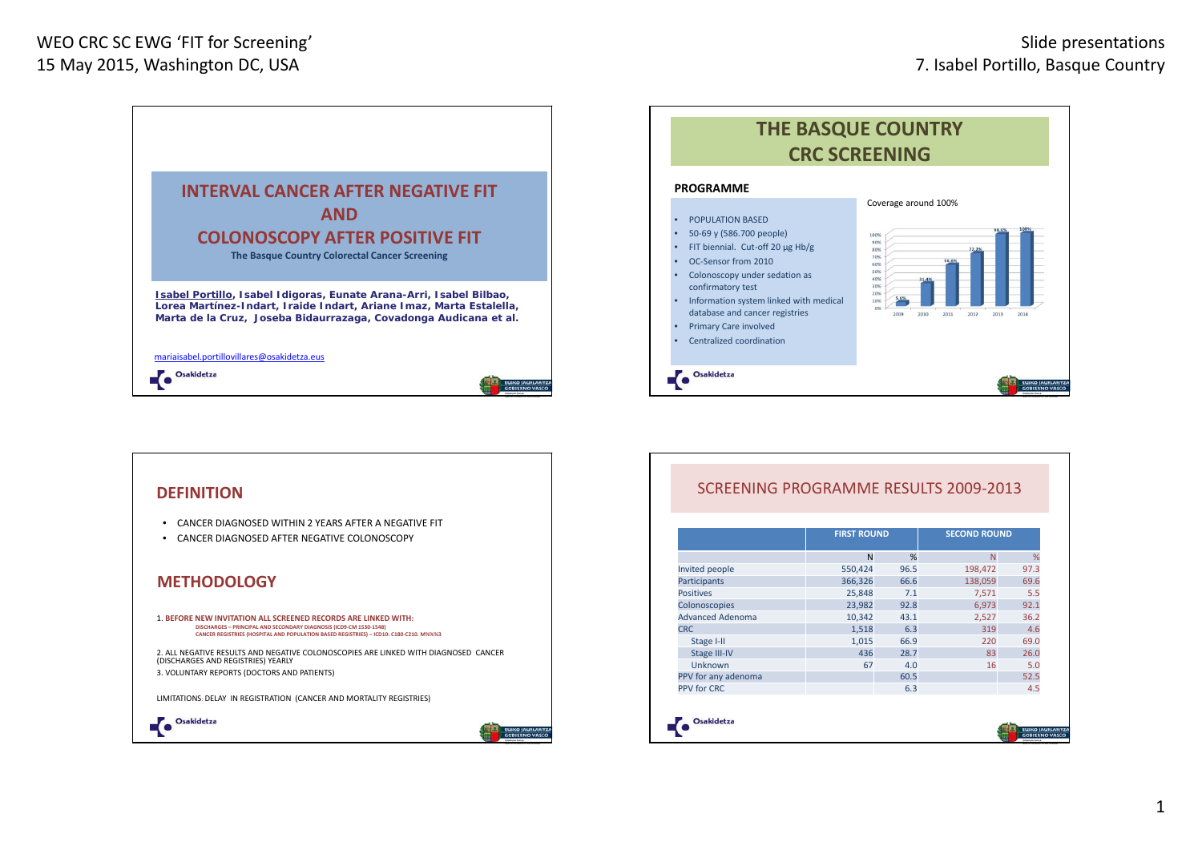



## **DEFINITION**• CANCER DIAGNOSED WITHIN 2 YEARS AFTER A NEGATIVE FIT • CANCER DIAGNOSED AFTER NEGATIVE COLONOSCOPY **METHODOLOGY**1. **BEFORE NEW INVITATION ALL SCREENED RECORDS ARE LINKED WITH: DISCHARGES – PRINCIPAL AND SECONDARY DIAGNOSIS (ICD9‐CM 1530‐1548) CANCER REGISTRIES (HOSPITAL AND POPULATION BASED REGISTRIES) – ICD10: C180‐C210. M%%%3** 2. ALL NEGATIVE RESULTS AND NEGATIVE COLONOSCOPIES ARE LINKED WITH DIAGNOSED CANCER (DISCHARGES AND REGISTRIES) YEARLY 3. VOLUNTARY REPORTS (DOCTORS AND PATIENTS) LIMITATIONS: DELAY IN REGISTRATION (CANCER AND MORTALITY REGISTRIES) Osakidetza ٦О

## SCREENING PROGRAMME RESULTS 2009‐2013

|                         | <b>FIRST ROUND</b> |      | <b>SECOND ROUND</b> |      |  |  |
|-------------------------|--------------------|------|---------------------|------|--|--|
|                         | N                  | %    | N                   | %    |  |  |
| Invited people          | 550,424            | 96.5 | 198,472             | 97.3 |  |  |
| Participants            | 366,326            | 66.6 | 138,059             | 69.6 |  |  |
| <b>Positives</b>        | 25,848             | 7.1  | 7,571               | 5.5  |  |  |
| Colonoscopies           | 23,982             | 92.8 | 6,973               | 92.1 |  |  |
| <b>Advanced Adenoma</b> | 10,342             | 43.1 | 2,527               | 36.2 |  |  |
| <b>CRC</b>              | 1,518              | 6.3  | 319                 | 4.6  |  |  |
| Stage I-II              | 1,015              | 66.9 | 220                 | 69.0 |  |  |
| <b>Stage III-IV</b>     | 436                | 28.7 | 83                  | 26.0 |  |  |
| Unknown                 | 67                 | 4.0  | 16                  | 5.0  |  |  |
| PPV for any adenoma     |                    | 60.5 |                     | 52.5 |  |  |
| PPV for CRC             |                    | 6.3  |                     | 4.5  |  |  |